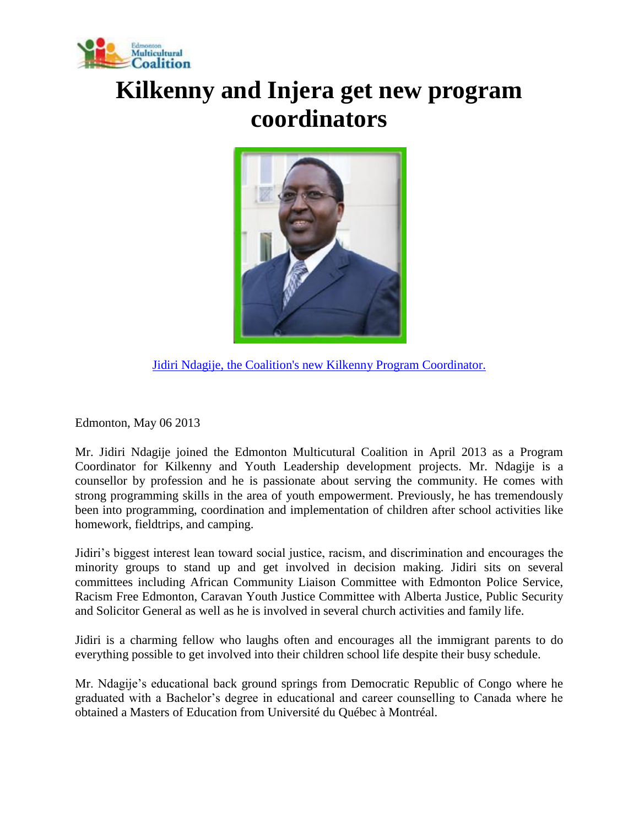

## **Kilkenny and Injera get new program coordinators**



[Jidiri Ndagije, the Coalition's new Kilkenny Program Coordinator.](http://www.emcoalition.ca/wp-content/uploads/2013/05/Jidiri_Ndagije.jpg)

Edmonton, May 06 2013

Mr. Jidiri Ndagije joined the Edmonton Multicutural Coalition in April 2013 as a Program Coordinator for Kilkenny and Youth Leadership development projects. Mr. Ndagije is a counsellor by profession and he is passionate about serving the community. He comes with strong programming skills in the area of youth empowerment. Previously, he has tremendously been into programming, coordination and implementation of children after school activities like homework, fieldtrips, and camping.

Jidiri's biggest interest lean toward social justice, racism, and discrimination and encourages the minority groups to stand up and get involved in decision making. Jidiri sits on several committees including African Community Liaison Committee with Edmonton Police Service, Racism Free Edmonton, Caravan Youth Justice Committee with Alberta Justice, Public Security and Solicitor General as well as he is involved in several church activities and family life.

Jidiri is a charming fellow who laughs often and encourages all the immigrant parents to do everything possible to get involved into their children school life despite their busy schedule.

Mr. Ndagije's educational back ground springs from Democratic Republic of Congo where he graduated with a Bachelor's degree in educational and career counselling to Canada where he obtained a Masters of Education from Université du Québec à Montréal.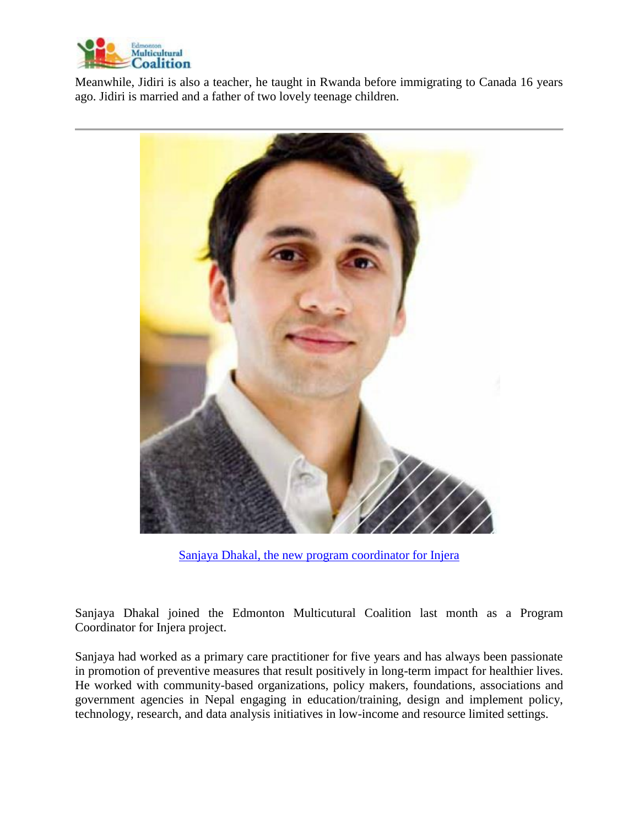

Meanwhile, Jidiri is also a teacher, he taught in Rwanda before immigrating to Canada 16 years ago. Jidiri is married and a father of two lovely teenage children.



[Sanjaya Dhakal, the new program coordinator for Injera](http://www.emcoalition.ca/wp-content/uploads/2013/05/Sanjaya.jpg)

Sanjaya Dhakal joined the Edmonton Multicutural Coalition last month as a Program Coordinator for Injera project.

Sanjaya had worked as a primary care practitioner for five years and has always been passionate in promotion of preventive measures that result positively in long-term impact for healthier lives. He worked with community-based organizations, policy makers, foundations, associations and government agencies in Nepal engaging in education/training, design and implement policy, technology, research, and data analysis initiatives in low-income and resource limited settings.